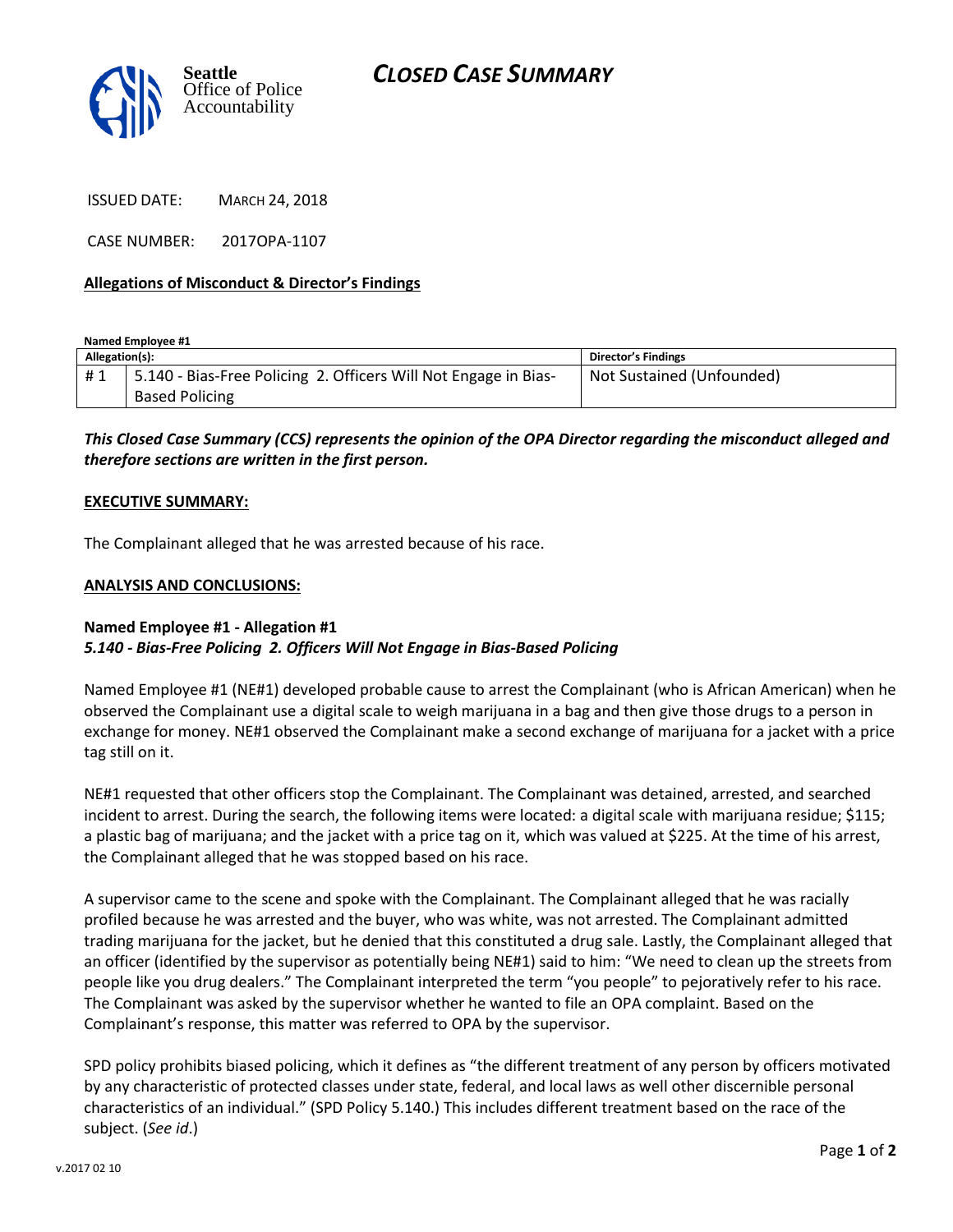



ISSUED DATE: MARCH 24, 2018

CASE NUMBER: 2017OPA-1107

### **Allegations of Misconduct & Director's Findings**

**Named Employee #1**

| Allegation(s): |                                                                                          | Director's Findings       |
|----------------|------------------------------------------------------------------------------------------|---------------------------|
| #1             | 5.140 - Bias-Free Policing 2. Officers Will Not Engage in Bias-<br><b>Based Policing</b> | Not Sustained (Unfounded) |
|                |                                                                                          |                           |

*This Closed Case Summary (CCS) represents the opinion of the OPA Director regarding the misconduct alleged and therefore sections are written in the first person.* 

#### **EXECUTIVE SUMMARY:**

The Complainant alleged that he was arrested because of his race.

#### **ANALYSIS AND CONCLUSIONS:**

## **Named Employee #1 - Allegation #1** *5.140 - Bias-Free Policing 2. Officers Will Not Engage in Bias-Based Policing*

Named Employee #1 (NE#1) developed probable cause to arrest the Complainant (who is African American) when he observed the Complainant use a digital scale to weigh marijuana in a bag and then give those drugs to a person in exchange for money. NE#1 observed the Complainant make a second exchange of marijuana for a jacket with a price tag still on it.

NE#1 requested that other officers stop the Complainant. The Complainant was detained, arrested, and searched incident to arrest. During the search, the following items were located: a digital scale with marijuana residue; \$115; a plastic bag of marijuana; and the jacket with a price tag on it, which was valued at \$225. At the time of his arrest, the Complainant alleged that he was stopped based on his race.

A supervisor came to the scene and spoke with the Complainant. The Complainant alleged that he was racially profiled because he was arrested and the buyer, who was white, was not arrested. The Complainant admitted trading marijuana for the jacket, but he denied that this constituted a drug sale. Lastly, the Complainant alleged that an officer (identified by the supervisor as potentially being NE#1) said to him: "We need to clean up the streets from people like you drug dealers." The Complainant interpreted the term "you people" to pejoratively refer to his race. The Complainant was asked by the supervisor whether he wanted to file an OPA complaint. Based on the Complainant's response, this matter was referred to OPA by the supervisor.

SPD policy prohibits biased policing, which it defines as "the different treatment of any person by officers motivated by any characteristic of protected classes under state, federal, and local laws as well other discernible personal characteristics of an individual." (SPD Policy 5.140.) This includes different treatment based on the race of the subject. (*See id*.)